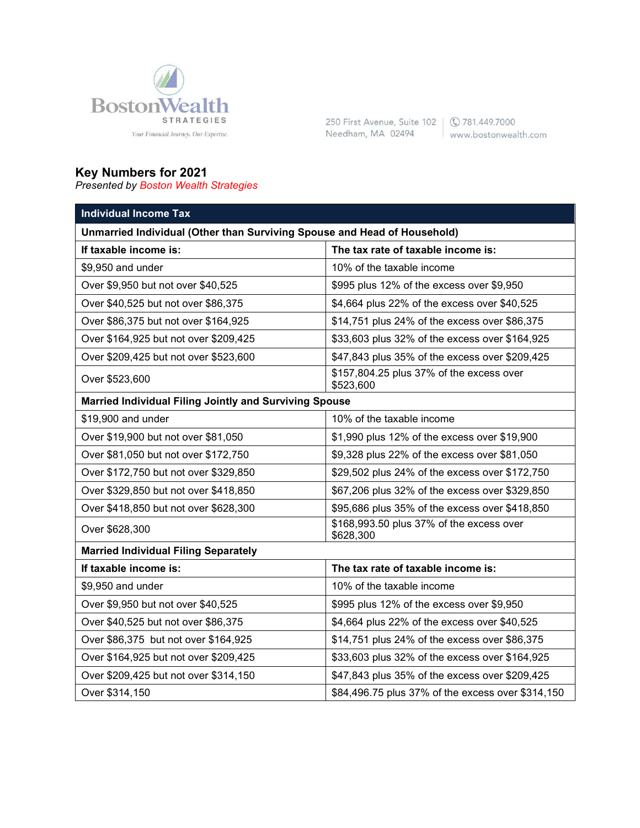

250 First Avenue, Suite 102 | © 781.449.7000 Needham, MA 02494 www.bostonwealth.com

## **Key Numbers for 2021**

*Presented by Boston Wealth Strategies*

| <b>Individual Income Tax</b>                                             |                                                       |  |
|--------------------------------------------------------------------------|-------------------------------------------------------|--|
| Unmarried Individual (Other than Surviving Spouse and Head of Household) |                                                       |  |
| If taxable income is:                                                    | The tax rate of taxable income is:                    |  |
| \$9,950 and under                                                        | 10% of the taxable income                             |  |
| Over \$9,950 but not over \$40,525                                       | \$995 plus 12% of the excess over \$9,950             |  |
| Over \$40,525 but not over \$86,375                                      | \$4,664 plus 22% of the excess over \$40,525          |  |
| Over \$86,375 but not over \$164,925                                     | \$14,751 plus 24% of the excess over \$86,375         |  |
| Over \$164,925 but not over \$209,425                                    | \$33,603 plus 32% of the excess over \$164,925        |  |
| Over \$209,425 but not over \$523,600                                    | \$47,843 plus 35% of the excess over \$209,425        |  |
| Over \$523,600                                                           | \$157,804.25 plus 37% of the excess over<br>\$523,600 |  |
| <b>Married Individual Filing Jointly and Surviving Spouse</b>            |                                                       |  |
| \$19,900 and under                                                       | 10% of the taxable income                             |  |
| Over \$19,900 but not over \$81,050                                      | \$1,990 plus 12% of the excess over \$19,900          |  |
| Over \$81,050 but not over \$172,750                                     | \$9,328 plus 22% of the excess over \$81,050          |  |
| Over \$172,750 but not over \$329,850                                    | \$29,502 plus 24% of the excess over \$172,750        |  |
| Over \$329,850 but not over \$418,850                                    | \$67,206 plus 32% of the excess over \$329,850        |  |
| Over \$418,850 but not over \$628,300                                    | \$95,686 plus 35% of the excess over \$418,850        |  |
| Over \$628,300                                                           | \$168,993.50 plus 37% of the excess over<br>\$628,300 |  |
| <b>Married Individual Filing Separately</b>                              |                                                       |  |
| If taxable income is:                                                    | The tax rate of taxable income is:                    |  |
| \$9,950 and under                                                        | 10% of the taxable income                             |  |
| Over \$9,950 but not over \$40,525                                       | \$995 plus 12% of the excess over \$9,950             |  |
| Over \$40,525 but not over \$86,375                                      | \$4,664 plus 22% of the excess over \$40,525          |  |
| Over \$86,375 but not over \$164,925                                     | \$14,751 plus 24% of the excess over \$86,375         |  |
| Over \$164,925 but not over \$209,425                                    | \$33,603 plus 32% of the excess over \$164,925        |  |
| Over \$209,425 but not over \$314,150                                    | \$47,843 plus 35% of the excess over \$209,425        |  |
| Over \$314,150                                                           | \$84,496.75 plus 37% of the excess over \$314,150     |  |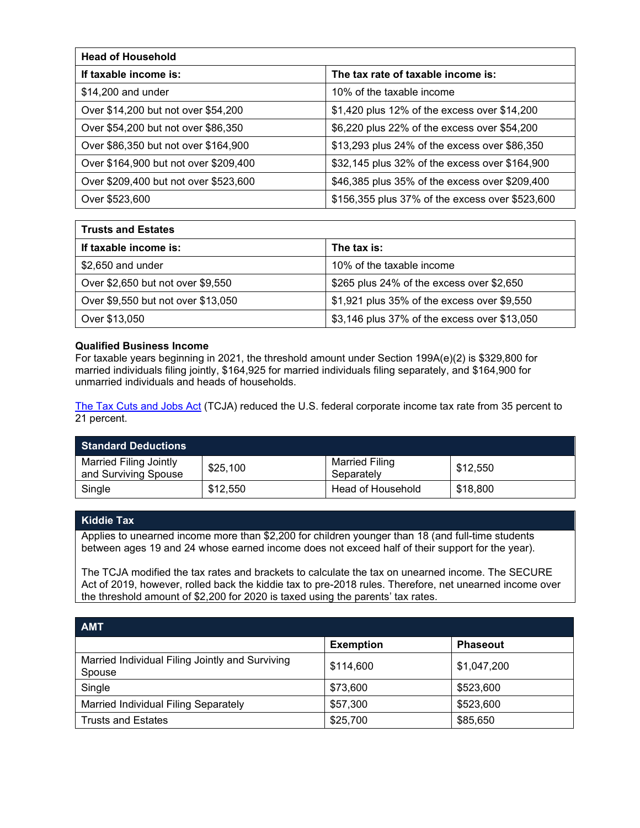| <b>Head of Household</b>              |                                                 |  |
|---------------------------------------|-------------------------------------------------|--|
| If taxable income is:                 | The tax rate of taxable income is:              |  |
| \$14,200 and under                    | 10% of the taxable income                       |  |
| Over \$14,200 but not over \$54,200   | \$1,420 plus 12% of the excess over \$14,200    |  |
| Over \$54,200 but not over \$86,350   | \$6,220 plus 22% of the excess over \$54,200    |  |
| Over \$86,350 but not over \$164,900  | \$13,293 plus 24% of the excess over \$86,350   |  |
| Over \$164,900 but not over \$209,400 | \$32,145 plus 32% of the excess over \$164,900  |  |
| Over \$209,400 but not over \$523,600 | \$46,385 plus 35% of the excess over \$209,400  |  |
| Over \$523,600                        | \$156,355 plus 37% of the excess over \$523,600 |  |

| <b>Trusts and Estates</b>          |                                              |
|------------------------------------|----------------------------------------------|
| If taxable income is:              | The tax is:                                  |
| $$2,650$ and under                 | 10% of the taxable income                    |
| Over \$2,650 but not over \$9,550  | \$265 plus 24% of the excess over \$2,650    |
| Over \$9,550 but not over \$13,050 | \$1,921 plus 35% of the excess over \$9,550  |
| Over \$13,050                      | \$3,146 plus 37% of the excess over \$13,050 |

## **Qualified Business Income**

For taxable years beginning in 2021, the threshold amount under Section 199A(e)(2) is \$329,800 for married individuals filing jointly, \$164,925 for married individuals filing separately, and \$164,900 for unmarried individuals and heads of households.

[The Tax Cuts and Jobs Act](https://taxfoundation.org/final-tax-cuts-and-jobs-act-details-analysis/) (TCJA) reduced the U.S. federal corporate income tax rate from 35 percent to 21 percent.

| <b>Standard Deductions</b>                     |          |                                     |          |
|------------------------------------------------|----------|-------------------------------------|----------|
| Married Filing Jointly<br>and Surviving Spouse | \$25,100 | <b>Married Filing</b><br>Separately | \$12,550 |
| Single                                         | \$12,550 | Head of Household                   | \$18,800 |

## **Kiddie Tax**

Applies to unearned income more than \$2,200 for children younger than 18 (and full-time students between ages 19 and 24 whose earned income does not exceed half of their support for the year).

The TCJA modified the tax rates and brackets to calculate the tax on unearned income. The SECURE Act of 2019, however, rolled back the kiddie tax to pre-2018 rules. Therefore, net unearned income over the threshold amount of \$2,200 for 2020 is taxed using the parents' tax rates.

| <b>AMT</b>                                                |                  |                 |
|-----------------------------------------------------------|------------------|-----------------|
|                                                           | <b>Exemption</b> | <b>Phaseout</b> |
| Married Individual Filing Jointly and Surviving<br>Spouse | \$114,600        | \$1,047,200     |
| Single                                                    | \$73,600         | \$523,600       |
| <b>Married Individual Filing Separately</b>               | \$57,300         | \$523,600       |
| <b>Trusts and Estates</b>                                 | \$25,700         | \$85,650        |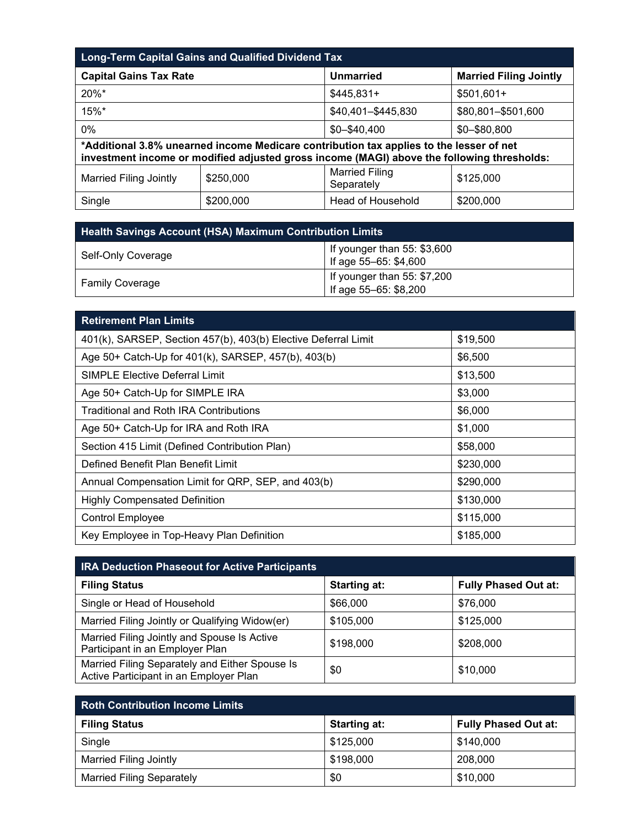| <b>Long-Term Capital Gains and Qualified Dividend Tax</b> |           |                                                                                                                                                                                       |                               |
|-----------------------------------------------------------|-----------|---------------------------------------------------------------------------------------------------------------------------------------------------------------------------------------|-------------------------------|
| <b>Capital Gains Tax Rate</b>                             |           | <b>Unmarried</b>                                                                                                                                                                      | <b>Married Filing Jointly</b> |
| 20%*                                                      |           | $$445,831+$                                                                                                                                                                           | $$501,601+$                   |
| 15%*                                                      |           | \$40,401-\$445,830                                                                                                                                                                    | \$80,801-\$501,600            |
| 0%                                                        |           | $$0 - $40,400$                                                                                                                                                                        | \$0-\$80,800                  |
|                                                           |           | *Additional 3.8% unearned income Medicare contribution tax applies to the lesser of net<br>investment income or modified adjusted gross income (MAGI) above the following thresholds: |                               |
| <b>Married Filing Jointly</b>                             | \$250,000 | <b>Married Filing</b><br>Separately                                                                                                                                                   | \$125,000                     |
| Single                                                    | \$200,000 | Head of Household                                                                                                                                                                     | \$200,000                     |

| <b>Health Savings Account (HSA) Maximum Contribution Limits</b> |                                                       |  |
|-----------------------------------------------------------------|-------------------------------------------------------|--|
| Self-Only Coverage                                              | If younger than $55: $3,600$<br>If age 55-65: \$4,600 |  |
| <b>Family Coverage</b>                                          | If younger than $55: $7,200$<br>If age 55-65: \$8,200 |  |

| <b>Retirement Plan Limits</b>                                  |           |
|----------------------------------------------------------------|-----------|
| 401(k), SARSEP, Section 457(b), 403(b) Elective Deferral Limit | \$19,500  |
| Age 50+ Catch-Up for 401(k), SARSEP, 457(b), 403(b)            | \$6,500   |
| <b>SIMPLE Elective Deferral Limit</b>                          | \$13,500  |
| Age 50+ Catch-Up for SIMPLE IRA                                | \$3,000   |
| Traditional and Roth IRA Contributions                         | \$6,000   |
| Age 50+ Catch-Up for IRA and Roth IRA                          | \$1,000   |
| Section 415 Limit (Defined Contribution Plan)                  | \$58,000  |
| Defined Benefit Plan Benefit Limit                             | \$230,000 |
| Annual Compensation Limit for QRP, SEP, and 403(b)             | \$290,000 |
| <b>Highly Compensated Definition</b>                           | \$130,000 |
| <b>Control Employee</b>                                        | \$115,000 |
| Key Employee in Top-Heavy Plan Definition                      | \$185,000 |

| <b>IRA Deduction Phaseout for Active Participants</b>                                    |                     |                             |
|------------------------------------------------------------------------------------------|---------------------|-----------------------------|
| <b>Filing Status</b>                                                                     | <b>Starting at:</b> | <b>Fully Phased Out at:</b> |
| Single or Head of Household                                                              | \$66,000            | \$76,000                    |
| Married Filing Jointly or Qualifying Widow(er)                                           | \$105,000           | \$125,000                   |
| Married Filing Jointly and Spouse Is Active<br>Participant in an Employer Plan           | \$198,000           | \$208,000                   |
| Married Filing Separately and Either Spouse Is<br>Active Participant in an Employer Plan | \$0                 | \$10,000                    |

| <b>Roth Contribution Income Limits</b> |                     |                             |
|----------------------------------------|---------------------|-----------------------------|
| <b>Filing Status</b>                   | <b>Starting at:</b> | <b>Fully Phased Out at:</b> |
| Single                                 | \$125,000           | \$140,000                   |
| <b>Married Filing Jointly</b>          | \$198,000           | 208,000                     |
| <b>Married Filing Separately</b>       | \$0                 | \$10,000                    |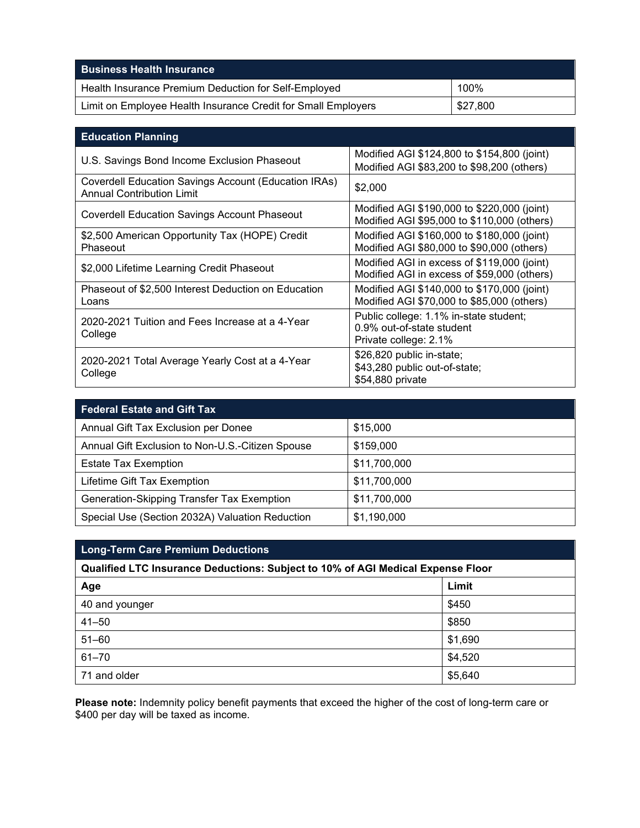| <b>Business Health Insurance</b>                              |          |
|---------------------------------------------------------------|----------|
| Health Insurance Premium Deduction for Self-Employed          | 100%     |
| Limit on Employee Health Insurance Credit for Small Employers | \$27.800 |

| <b>Education Planning</b>                                                                |                                                                                              |
|------------------------------------------------------------------------------------------|----------------------------------------------------------------------------------------------|
| U.S. Savings Bond Income Exclusion Phaseout                                              | Modified AGI \$124,800 to \$154,800 (joint)<br>Modified AGI \$83,200 to \$98,200 (others)    |
| Coverdell Education Savings Account (Education IRAs)<br><b>Annual Contribution Limit</b> | \$2,000                                                                                      |
| <b>Coverdell Education Savings Account Phaseout</b>                                      | Modified AGI \$190,000 to \$220,000 (joint)<br>Modified AGI \$95,000 to \$110,000 (others)   |
| \$2,500 American Opportunity Tax (HOPE) Credit<br>Phaseout                               | Modified AGI \$160,000 to \$180,000 (joint)<br>Modified AGI \$80,000 to \$90,000 (others)    |
| \$2,000 Lifetime Learning Credit Phaseout                                                | Modified AGI in excess of \$119,000 (joint)<br>Modified AGI in excess of \$59,000 (others)   |
| Phaseout of \$2,500 Interest Deduction on Education<br>Loans                             | Modified AGI \$140,000 to \$170,000 (joint)<br>Modified AGI \$70,000 to \$85,000 (others)    |
| 2020-2021 Tuition and Fees Increase at a 4-Year<br>College                               | Public college: 1.1% in-state student;<br>0.9% out-of-state student<br>Private college: 2.1% |
| 2020-2021 Total Average Yearly Cost at a 4-Year<br>College                               | \$26,820 public in-state;<br>\$43,280 public out-of-state;<br>\$54,880 private               |

| <b>Federal Estate and Gift Tax</b>               |              |  |
|--------------------------------------------------|--------------|--|
| Annual Gift Tax Exclusion per Donee              | \$15,000     |  |
| Annual Gift Exclusion to Non-U.S.-Citizen Spouse | \$159,000    |  |
| <b>Estate Tax Exemption</b>                      | \$11,700,000 |  |
| Lifetime Gift Tax Exemption                      | \$11,700,000 |  |
| Generation-Skipping Transfer Tax Exemption       | \$11,700,000 |  |
| Special Use (Section 2032A) Valuation Reduction  | \$1,190,000  |  |

| <b>Long-Term Care Premium Deductions</b>                                        |         |  |  |
|---------------------------------------------------------------------------------|---------|--|--|
| Qualified LTC Insurance Deductions: Subject to 10% of AGI Medical Expense Floor |         |  |  |
| Age                                                                             | Limit   |  |  |
| 40 and younger                                                                  | \$450   |  |  |
| $41 - 50$                                                                       | \$850   |  |  |
| $51 - 60$                                                                       | \$1,690 |  |  |
| $61 - 70$                                                                       | \$4,520 |  |  |
| 71 and older                                                                    | \$5,640 |  |  |

**Please note:** Indemnity policy benefit payments that exceed the higher of the cost of long-term care or \$400 per day will be taxed as income.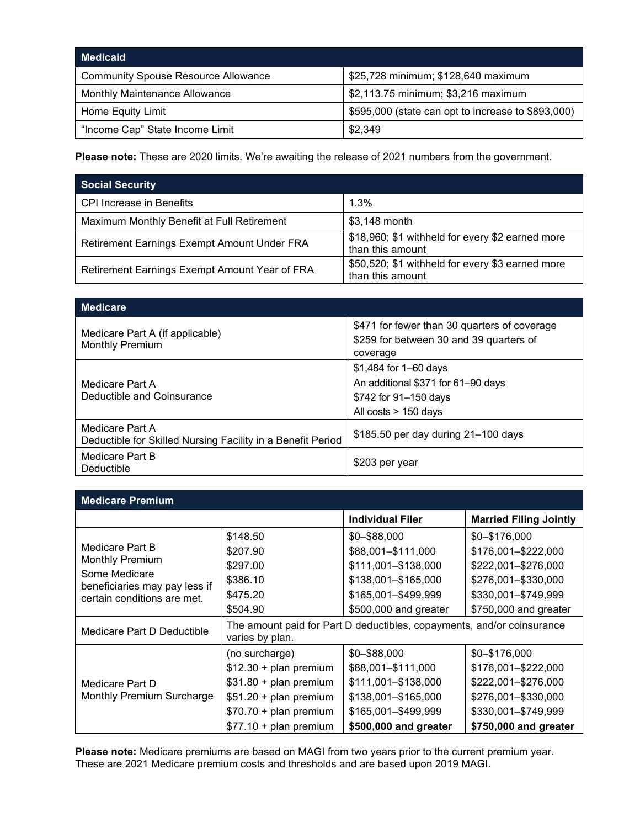| <b>Medicaid</b>                            |                                                    |
|--------------------------------------------|----------------------------------------------------|
| <b>Community Spouse Resource Allowance</b> | \$25,728 minimum; \$128,640 maximum                |
| Monthly Maintenance Allowance              | \$2,113.75 minimum; \$3,216 maximum                |
| Home Equity Limit                          | \$595,000 (state can opt to increase to \$893,000) |
| "Income Cap" State Income Limit            | \$2,349                                            |

**Please note:** These are 2020 limits. We're awaiting the release of 2021 numbers from the government.

| <b>Social Security</b>                        |                                                                      |
|-----------------------------------------------|----------------------------------------------------------------------|
| <b>CPI Increase in Benefits</b>               | 1.3%                                                                 |
| Maximum Monthly Benefit at Full Retirement    | \$3,148 month                                                        |
| Retirement Earnings Exempt Amount Under FRA   | \$18,960; \$1 withheld for every \$2 earned more<br>than this amount |
| Retirement Earnings Exempt Amount Year of FRA | \$50,520; \$1 withheld for every \$3 earned more<br>than this amount |

| <b>Medicare</b>                                                                |                                                                                                                 |
|--------------------------------------------------------------------------------|-----------------------------------------------------------------------------------------------------------------|
| Medicare Part A (if applicable)<br><b>Monthly Premium</b>                      | \$471 for fewer than 30 quarters of coverage<br>\$259 for between 30 and 39 quarters of<br>coverage             |
| Medicare Part A<br>Deductible and Coinsurance                                  | $$1,484$ for 1–60 days<br>An additional \$371 for 61-90 days<br>\$742 for 91–150 days<br>All costs $> 150$ days |
| Medicare Part A<br>Deductible for Skilled Nursing Facility in a Benefit Period | \$185.50 per day during 21-100 days                                                                             |
| Medicare Part B<br>Deductible                                                  | \$203 per year                                                                                                  |

| <b>Medicare Premium</b>                                                                                                    |                                                                                                                                                       |                                                                                                                                  |                                                                                                                                    |
|----------------------------------------------------------------------------------------------------------------------------|-------------------------------------------------------------------------------------------------------------------------------------------------------|----------------------------------------------------------------------------------------------------------------------------------|------------------------------------------------------------------------------------------------------------------------------------|
|                                                                                                                            |                                                                                                                                                       | <b>Individual Filer</b>                                                                                                          | <b>Married Filing Jointly</b>                                                                                                      |
| Medicare Part B<br><b>Monthly Premium</b><br>Some Medicare<br>beneficiaries may pay less if<br>certain conditions are met. | \$148.50<br>\$207.90<br>\$297.00<br>\$386.10<br>\$475.20<br>\$504.90                                                                                  | \$0-\$88,000<br>\$88,001-\$111,000<br>\$111,001-\$138,000<br>\$138,001-\$165,000<br>\$165,001-\$499,999<br>\$500,000 and greater | \$0-\$176,000<br>\$176,001-\$222,000<br>\$222,001-\$276,000<br>\$276,001-\$330,000<br>\$330,001-\$749,999<br>\$750,000 and greater |
| Medicare Part D Deductible                                                                                                 | The amount paid for Part D deductibles, copayments, and/or coinsurance<br>varies by plan.                                                             |                                                                                                                                  |                                                                                                                                    |
| Medicare Part D<br>Monthly Premium Surcharge                                                                               | (no surcharge)<br>$$12.30 + plan premium$<br>$$31.80 + plan premium$<br>$$51.20 + plan premium$<br>$$70.70 + plan premium$<br>$$77.10 + plan premium$ | \$0-\$88,000<br>\$88,001-\$111,000<br>\$111,001-\$138,000<br>\$138,001-\$165,000<br>\$165,001-\$499,999<br>\$500,000 and greater | \$0-\$176,000<br>\$176,001-\$222,000<br>\$222,001-\$276,000<br>\$276,001-\$330,000<br>\$330,001-\$749,999<br>\$750,000 and greater |

**Please note:** Medicare premiums are based on MAGI from two years prior to the current premium year. These are 2021 Medicare premium costs and thresholds and are based upon 2019 MAGI.